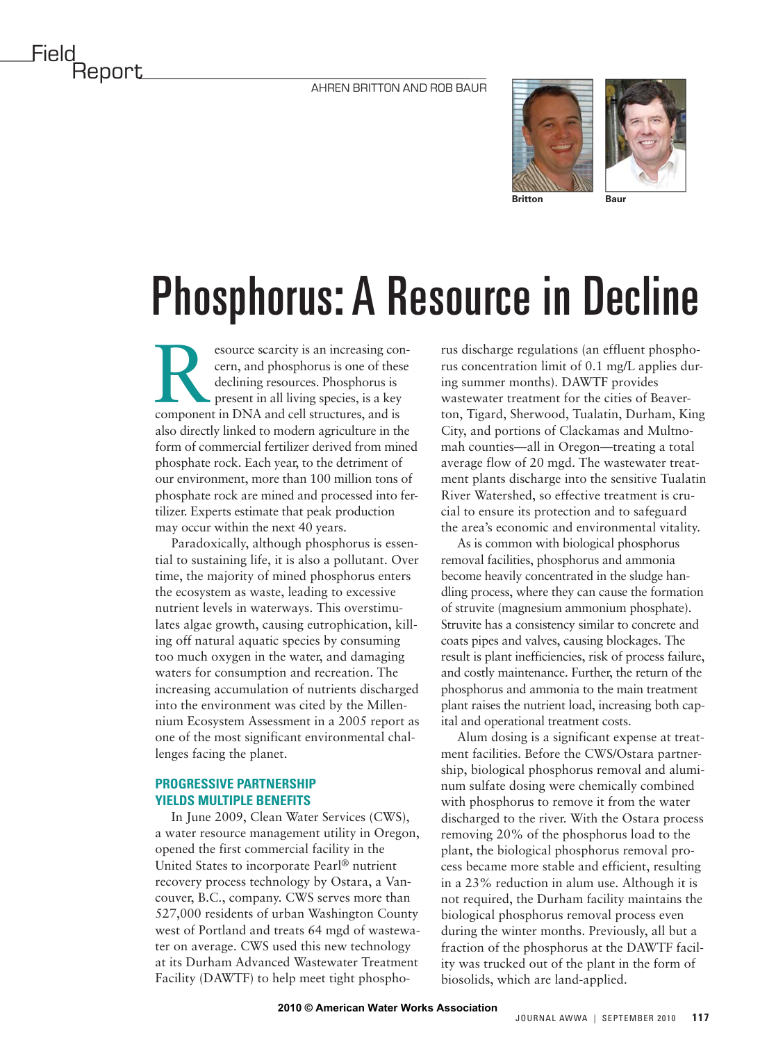

## Phosphorus: A Resource in Decline

Experience scarcity is an increasing concern, and phosphorus is one of these declining resources. Phosphorus is present in all living species, is a key component in DNA and cell structures, and is cern, and phosphorus is one of these declining resources. Phosphorus is present in all living species, is a key also directly linked to modern agriculture in the form of commercial fertilizer derived from mined phosphate rock. Each year, to the detriment of our environment, more than 100 million tons of phosphate rock are mined and processed into fertilizer. Experts estimate that peak production may occur within the next 40 years.

Paradoxically, although phosphorus is essential to sustaining life, it is also a pollutant. Over time, the majority of mined phosphorus enters the ecosystem as waste, leading to excessive nutrient levels in waterways. This overstimulates algae growth, causing eutrophication, killing off natural aquatic species by consuming too much oxygen in the water, and damaging waters for consumption and recreation. The increasing accumulation of nutrients discharged into the environment was cited by the Millennium Ecosystem Assessment in a 2005 report as one of the most significant environmental challenges facing the planet.

## **PROGRESSIVE PARTNERSHIP YIELDS MULTIPLE BENEFITS**

In June 2009, Clean Water Services (CWS), a water resource management utility in Oregon, opened the first commercial facility in the United States to incorporate Pearl® nutrient recovery process technology by Ostara, a Vancouver, B.C., company. CWS serves more than 527,000 residents of urban Washington County west of Portland and treats 64 mgd of wastewater on average. CWS used this new technology at its Durham Advanced Wastewater Treatment Facility (DAWTF) to help meet tight phosphorus discharge regulations (an effluent phosphorus concentration limit of 0.1 mg/L applies during summer months). DAWTF provides wastewater treatment for the cities of Beaverton, Tigard, Sherwood, Tualatin, Durham, King City, and portions of Clackamas and Multnomah counties—all in Oregon—treating a total average flow of 20 mgd. The wastewater treatment plants discharge into the sensitive Tualatin River Watershed, so effective treatment is crucial to ensure its protection and to safeguard the area's economic and environmental vitality.

As is common with biological phosphorus removal facilities, phosphorus and ammonia become heavily concentrated in the sludge handling process, where they can cause the formation of struvite (magnesium ammonium phosphate). Struvite has a consistency similar to concrete and coats pipes and valves, causing blockages. The result is plant inefficiencies, risk of process failure, and costly maintenance. Further, the return of the phosphorus and ammonia to the main treatment plant raises the nutrient load, increasing both capital and operational treatment costs.

Alum dosing is a significant expense at treatment facilities. Before the CWS/Ostara partnership, biological phosphorus removal and aluminum sulfate dosing were chemically combined with phosphorus to remove it from the water discharged to the river. With the Ostara process removing 20% of the phosphorus load to the plant, the biological phosphorus removal process became more stable and efficient, resulting in a 23% reduction in alum use. Although it is not required, the Durham facility maintains the biological phosphorus removal process even during the winter months. Previously, all but a fraction of the phosphorus at the DAWTF facility was trucked out of the plant in the form of biosolids, which are land-applied.